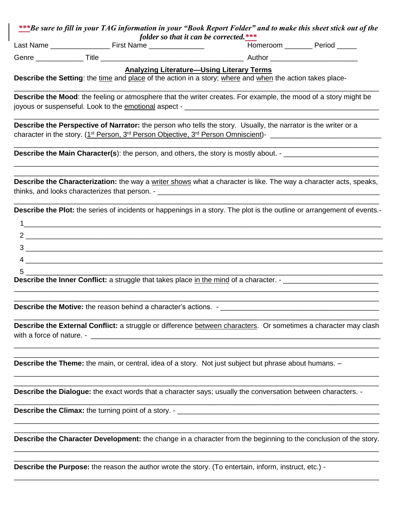| ***Be sure to fill in your TAG information in your "Book Report Folder" and to make this sheet stick out of the |                                        |  |  |
|-----------------------------------------------------------------------------------------------------------------|----------------------------------------|--|--|
|                                                                                                                 | folder so that it can be corrected.*** |  |  |

| Last<br>Name<br>$-$<br>Name<br>1ISL | neroom<br><b>IOP</b> | $n$ rinc |
|-------------------------------------|----------------------|----------|
|-------------------------------------|----------------------|----------|

Genre \_\_\_\_\_\_\_\_\_\_\_\_ Title \_\_\_\_\_\_\_\_\_\_\_\_\_\_\_\_\_\_\_\_\_\_\_\_\_\_\_\_\_\_\_\_\_\_\_\_ Author \_\_\_\_\_\_\_\_\_\_\_\_\_\_\_\_\_\_\_\_\_\_

## **Analyzing Literature—Using Literary Terms**

**Describe the Setting**: the time and place of the action in a story; where and when the action takes place-

**Describe the Mood**: the feeling or atmosphere that the writer creates. For example, the mood of a story might be joyous or suspenseful. Look to the emotional aspect - \_\_\_\_\_\_\_\_\_\_\_\_\_\_\_\_\_\_\_\_\_\_\_\_\_\_\_\_\_\_\_\_\_\_\_\_\_\_\_\_\_\_\_\_\_\_\_\_\_

 $\overline{\phantom{a}}$  , and the contribution of the contribution of the contribution of the contribution of the contribution of the contribution of the contribution of the contribution of the contribution of the contribution of the

 $\overline{\phantom{a}}$  , and the contribution of the contribution of the contribution of the contribution of the contribution of the contribution of the contribution of the contribution of the contribution of the contribution of the

\_\_\_\_\_\_\_\_\_\_\_\_\_\_\_\_\_\_\_\_\_\_\_\_\_\_\_\_\_\_\_\_\_\_\_\_\_\_\_\_\_\_\_\_\_\_\_\_\_\_\_\_\_\_\_\_\_\_\_\_\_\_\_\_\_\_\_\_\_\_\_\_\_\_\_\_\_\_\_\_\_\_\_\_\_\_\_\_\_\_\_\_

 $\overline{\phantom{a}}$  , and the contribution of the contribution of the contribution of the contribution of the contribution of the contribution of the contribution of the contribution of the contribution of the contribution of the  $\overline{\phantom{a}}$  , and the contribution of the contribution of the contribution of the contribution of the contribution of the contribution of the contribution of the contribution of the contribution of the contribution of the

**Describe the Perspective of Narrator:** the person who tells the story. Usually, the narrator is the writer or a character in the story. (1 st Person, 3rd Person Objective, 3rd Person Omniscient)- \_\_\_\_\_\_\_\_\_\_\_\_\_\_\_\_\_\_\_\_\_\_\_\_\_\_\_\_

**Describe the Main Character(s):** the person, and others, the story is mostly about. -

**Describe the Characterization:** the way a writer shows what a character is like. The way a character acts, speaks, thinks, and looks characterizes that person. - \_\_\_\_\_\_\_\_\_\_\_\_\_\_\_\_\_\_\_\_\_\_\_\_\_\_\_\_\_\_\_\_\_\_\_\_\_\_\_\_\_\_\_\_\_\_\_\_\_\_\_\_\_\_\_\_

 $\overline{\phantom{a}}$  , and the contribution of the contribution of the contribution of the contribution of the contribution of the contribution of the contribution of the contribution of the contribution of the contribution of the **Describe the Plot:** the series of incidents or happenings in a story. The plot is the outline or arrangement of events.-

| Describe the Inner Conflict: a struggle that takes place in the mind of a character. - ________ |
|-------------------------------------------------------------------------------------------------|

**Describe the Motive:** the reason behind a character's actions. -

**Describe the External Conflict:** a struggle or difference between characters. Or sometimes a character may clash with a force of nature. -

 $\overline{\phantom{a}}$  , and the contribution of the contribution of the contribution of the contribution of the contribution of the contribution of the contribution of the contribution of the contribution of the contribution of the  $\overline{\phantom{a}}$  , and the contribution of the contribution of the contribution of the contribution of the contribution of the contribution of the contribution of the contribution of the contribution of the contribution of the

 $\overline{\phantom{a}}$  , and the contribution of the contribution of the contribution of the contribution of the contribution of the contribution of the contribution of the contribution of the contribution of the contribution of the  $\overline{\phantom{a}}$  , and the contribution of the contribution of the contribution of the contribution of the contribution of the contribution of the contribution of the contribution of the contribution of the contribution of the

\_\_\_\_\_\_\_\_\_\_\_\_\_\_\_\_\_\_\_\_\_\_\_\_\_\_\_\_\_\_\_\_\_\_\_\_\_\_\_\_\_\_\_\_\_\_\_\_\_\_\_\_\_\_\_\_\_\_\_\_\_\_\_\_\_\_\_\_\_\_\_\_\_\_\_\_\_\_\_\_\_\_\_\_\_\_\_\_\_\_\_\_

 $\overline{\phantom{a}}$  , and the contribution of the contribution of the contribution of the contribution of the contribution of the contribution of the contribution of the contribution of the contribution of the contribution of the

 $\overline{\phantom{a}}$  , and the contribution of the contribution of the contribution of the contribution of the contribution of the contribution of the contribution of the contribution of the contribution of the contribution of the

 $\overline{\phantom{a}}$  , and the contribution of the contribution of the contribution of the contribution of the contribution of the contribution of the contribution of the contribution of the contribution of the contribution of the  $\overline{\phantom{a}}$  , and the contribution of the contribution of the contribution of the contribution of the contribution of the contribution of the contribution of the contribution of the contribution of the contribution of the

**Describe the Theme:** the main, or central, idea of a story. Not just subject but phrase about humans. –

**Describe the Dialogue:** the exact words that a character says; usually the conversation between characters. -

**Describe the Climax:** the turning point of a story. - \_\_\_\_\_\_\_\_\_\_\_\_\_\_\_\_\_\_\_\_\_\_\_\_\_\_\_\_\_\_\_\_\_\_\_\_\_\_\_\_\_\_\_\_\_\_\_\_\_\_\_

\_\_\_\_\_\_\_\_\_\_\_\_\_\_\_\_\_\_\_\_\_\_\_\_\_\_\_\_\_\_\_\_\_\_\_\_\_\_\_\_\_\_\_\_\_\_\_\_\_\_\_\_\_\_\_\_\_\_\_\_\_\_\_\_\_\_\_\_\_\_\_\_\_\_\_\_\_\_\_\_\_\_\_\_\_\_\_\_\_\_\_\_ **Describe the Character Development:** the change in a character from the beginning to the conclusion of the story.  $\overline{\phantom{a}}$  , and the contribution of the contribution of the contribution of the contribution of the contribution of the contribution of the contribution of the contribution of the contribution of the contribution of the

 $\overline{\phantom{a}}$  , and the contribution of the contribution of the contribution of the contribution of the contribution of the contribution of the contribution of the contribution of the contribution of the contribution of the

 $\overline{\phantom{a}}$  , and the contribution of the contribution of the contribution of the contribution of the contribution of the contribution of the contribution of the contribution of the contribution of the contribution of the

**Describe the Purpose:** the reason the author wrote the story. (To entertain, inform, instruct, etc.) -